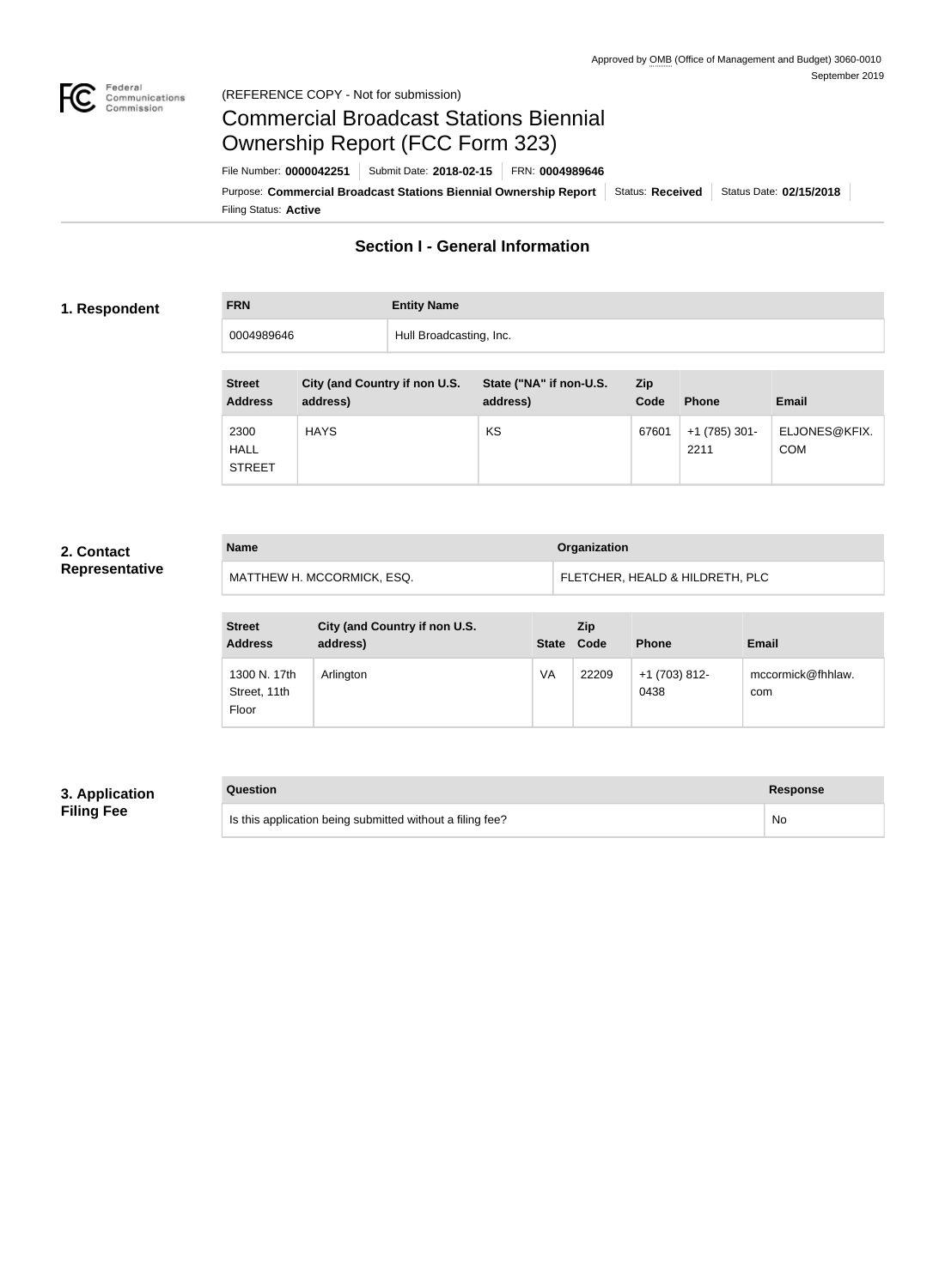

#### Federal<br>Communications<br>Commission (REFERENCE COPY - Not for submission)

# Commercial Broadcast Stations Biennial Ownership Report (FCC Form 323)

Filing Status: **Active** Purpose: Commercial Broadcast Stations Biennial Ownership Report Status: Received Status Date: 02/15/2018 File Number: **0000042251** Submit Date: **2018-02-15** FRN: **0004989646**

# **Section I - General Information**

#### **1. Respondent**

**FRN Entity Name** 0004989646 Hull Broadcasting, Inc.

| <b>Street</b><br><b>Address</b>      | City (and Country if non U.S.<br>address) | State ("NA" if non-U.S.<br>address) | Zip<br>Code | <b>Phone</b>          | <b>Email</b>                |
|--------------------------------------|-------------------------------------------|-------------------------------------|-------------|-----------------------|-----------------------------|
| 2300<br><b>HALL</b><br><b>STREET</b> | <b>HAYS</b>                               | KS                                  | 67601       | +1 (785) 301-<br>2211 | ELJONES@KFIX.<br><b>COM</b> |

### **2. Contact Representative**

| <b>Name</b>                | Organization                    |
|----------------------------|---------------------------------|
| MATTHEW H. MCCORMICK, ESQ. | FLETCHER, HEALD & HILDRETH, PLC |

| <b>Street</b><br><b>Address</b>       | City (and Country if non U.S.<br>address) | <b>State</b> | Zip<br>Code | <b>Phone</b>          | <b>Email</b>             |
|---------------------------------------|-------------------------------------------|--------------|-------------|-----------------------|--------------------------|
| 1300 N. 17th<br>Street, 11th<br>Floor | Arlington                                 | VA           | 22209       | +1 (703) 812-<br>0438 | mccormick@fhhlaw.<br>com |

## **3. Application Filing Fee**

# **Question Response** Is this application being submitted without a filing fee? No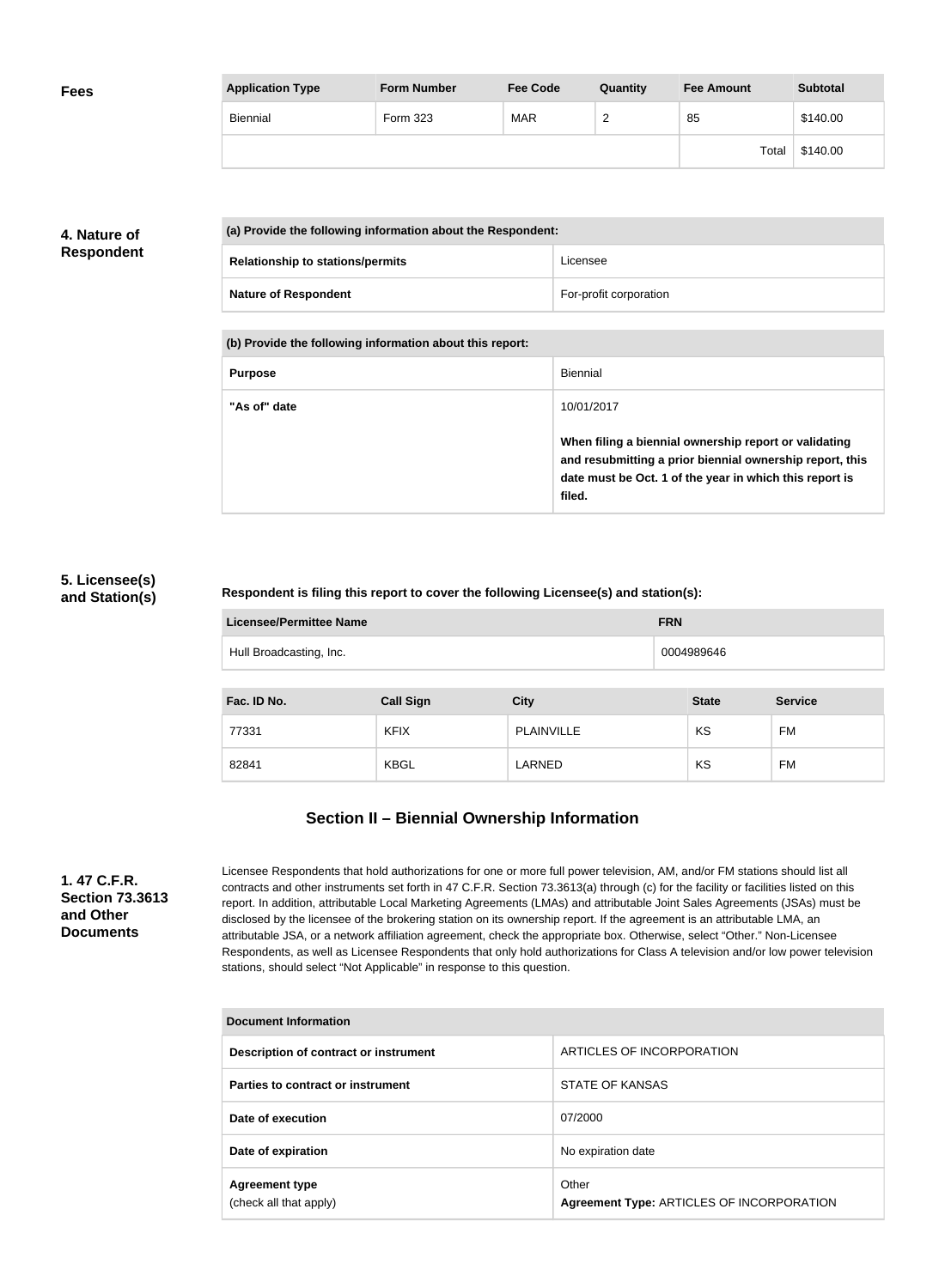| <b>Fees</b> | <b>Application Type</b> | <b>Form Number</b> | <b>Fee Code</b> | Quantity        | <b>Fee Amount</b> | <b>Subtotal</b> |
|-------------|-------------------------|--------------------|-----------------|-----------------|-------------------|-----------------|
|             | Biennial                | Form 323           | <b>MAR</b>      | $\sqrt{2}$<br>∼ | 85                | \$140.00        |
|             |                         |                    |                 |                 | Total             | \$140.00        |

## **4. Nature of Respondent**

| (a) Provide the following information about the Respondent: |                        |  |
|-------------------------------------------------------------|------------------------|--|
| <b>Relationship to stations/permits</b>                     | Licensee               |  |
| <b>Nature of Respondent</b>                                 | For-profit corporation |  |

**(b) Provide the following information about this report:**

| <b>Purpose</b> | Biennial                                                                                                                                                                               |
|----------------|----------------------------------------------------------------------------------------------------------------------------------------------------------------------------------------|
| "As of" date   | 10/01/2017                                                                                                                                                                             |
|                | When filing a biennial ownership report or validating<br>and resubmitting a prior biennial ownership report, this<br>date must be Oct. 1 of the year in which this report is<br>filed. |

#### **5. Licensee(s) and Station(s)**

#### **Respondent is filing this report to cover the following Licensee(s) and station(s):**

| <b>Licensee/Permittee Name</b> | <b>FRN</b> |
|--------------------------------|------------|
| Hull Broadcasting, Inc.        | 0004989646 |

| Fac. ID No. | <b>Call Sign</b> | <b>City</b>       | <b>State</b> | <b>Service</b> |
|-------------|------------------|-------------------|--------------|----------------|
| 77331       | <b>KFIX</b>      | <b>PLAINVILLE</b> | KS           | FM             |
| 82841       | <b>KBGL</b>      | LARNED            | KS           | FM             |

# **Section II – Biennial Ownership Information**

**1. 47 C.F.R. Section 73.3613 and Other Documents**

Licensee Respondents that hold authorizations for one or more full power television, AM, and/or FM stations should list all contracts and other instruments set forth in 47 C.F.R. Section 73.3613(a) through (c) for the facility or facilities listed on this report. In addition, attributable Local Marketing Agreements (LMAs) and attributable Joint Sales Agreements (JSAs) must be disclosed by the licensee of the brokering station on its ownership report. If the agreement is an attributable LMA, an attributable JSA, or a network affiliation agreement, check the appropriate box. Otherwise, select "Other." Non-Licensee Respondents, as well as Licensee Respondents that only hold authorizations for Class A television and/or low power television stations, should select "Not Applicable" in response to this question.

| Document Information                            |                                                    |  |  |  |
|-------------------------------------------------|----------------------------------------------------|--|--|--|
| Description of contract or instrument           | ARTICLES OF INCORPORATION                          |  |  |  |
| Parties to contract or instrument               | STATE OF KANSAS                                    |  |  |  |
| Date of execution                               | 07/2000                                            |  |  |  |
| Date of expiration                              | No expiration date                                 |  |  |  |
| <b>Agreement type</b><br>(check all that apply) | Other<br>Agreement Type: ARTICLES OF INCORPORATION |  |  |  |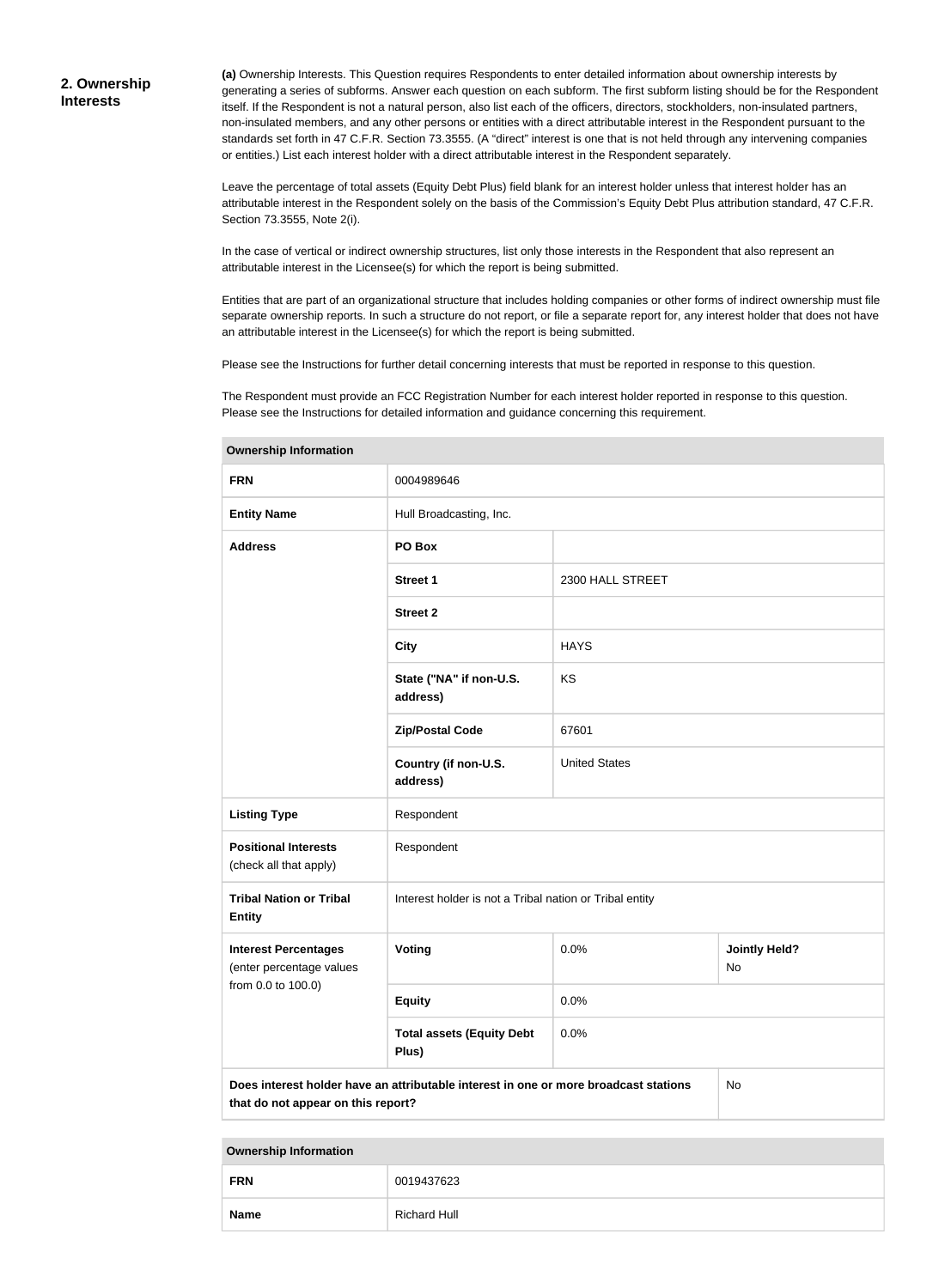**(a)** Ownership Interests. This Question requires Respondents to enter detailed information about ownership interests by generating a series of subforms. Answer each question on each subform. The first subform listing should be for the Respondent itself. If the Respondent is not a natural person, also list each of the officers, directors, stockholders, non-insulated partners, non-insulated members, and any other persons or entities with a direct attributable interest in the Respondent pursuant to the standards set forth in 47 C.F.R. Section 73.3555. (A "direct" interest is one that is not held through any intervening companies or entities.) List each interest holder with a direct attributable interest in the Respondent separately.

Leave the percentage of total assets (Equity Debt Plus) field blank for an interest holder unless that interest holder has an attributable interest in the Respondent solely on the basis of the Commission's Equity Debt Plus attribution standard, 47 C.F.R. Section 73.3555, Note 2(i).

In the case of vertical or indirect ownership structures, list only those interests in the Respondent that also represent an attributable interest in the Licensee(s) for which the report is being submitted.

Entities that are part of an organizational structure that includes holding companies or other forms of indirect ownership must file separate ownership reports. In such a structure do not report, or file a separate report for, any interest holder that does not have an attributable interest in the Licensee(s) for which the report is being submitted.

Please see the Instructions for further detail concerning interests that must be reported in response to this question.

The Respondent must provide an FCC Registration Number for each interest holder reported in response to this question. Please see the Instructions for detailed information and guidance concerning this requirement.

| <b>FRN</b>                                                                                                                       | 0004989646                                              |                      |                            |  |
|----------------------------------------------------------------------------------------------------------------------------------|---------------------------------------------------------|----------------------|----------------------------|--|
| <b>Entity Name</b>                                                                                                               | Hull Broadcasting, Inc.                                 |                      |                            |  |
| <b>Address</b>                                                                                                                   | PO Box                                                  |                      |                            |  |
|                                                                                                                                  | <b>Street 1</b>                                         | 2300 HALL STREET     |                            |  |
|                                                                                                                                  | <b>Street 2</b>                                         |                      |                            |  |
|                                                                                                                                  | <b>City</b>                                             | <b>HAYS</b>          |                            |  |
|                                                                                                                                  | State ("NA" if non-U.S.<br>address)                     | KS                   |                            |  |
|                                                                                                                                  | <b>Zip/Postal Code</b>                                  | 67601                |                            |  |
|                                                                                                                                  | Country (if non-U.S.<br>address)                        | <b>United States</b> |                            |  |
| <b>Listing Type</b>                                                                                                              | Respondent                                              |                      |                            |  |
| <b>Positional Interests</b><br>(check all that apply)                                                                            | Respondent                                              |                      |                            |  |
| <b>Tribal Nation or Tribal</b><br><b>Entity</b>                                                                                  | Interest holder is not a Tribal nation or Tribal entity |                      |                            |  |
| <b>Interest Percentages</b><br>(enter percentage values                                                                          | Voting                                                  | 0.0%                 | <b>Jointly Held?</b><br>No |  |
| from 0.0 to 100.0)                                                                                                               | <b>Equity</b>                                           | 0.0%                 |                            |  |
|                                                                                                                                  | <b>Total assets (Equity Debt</b><br>Plus)               | 0.0%                 |                            |  |
| Does interest holder have an attributable interest in one or more broadcast stations<br>No<br>that do not appear on this report? |                                                         |                      |                            |  |

#### **Ownership Information**

| <b>Ownership Information</b> |                     |  |
|------------------------------|---------------------|--|
| <b>FRN</b>                   | 0019437623          |  |
| <b>Name</b>                  | <b>Richard Hull</b> |  |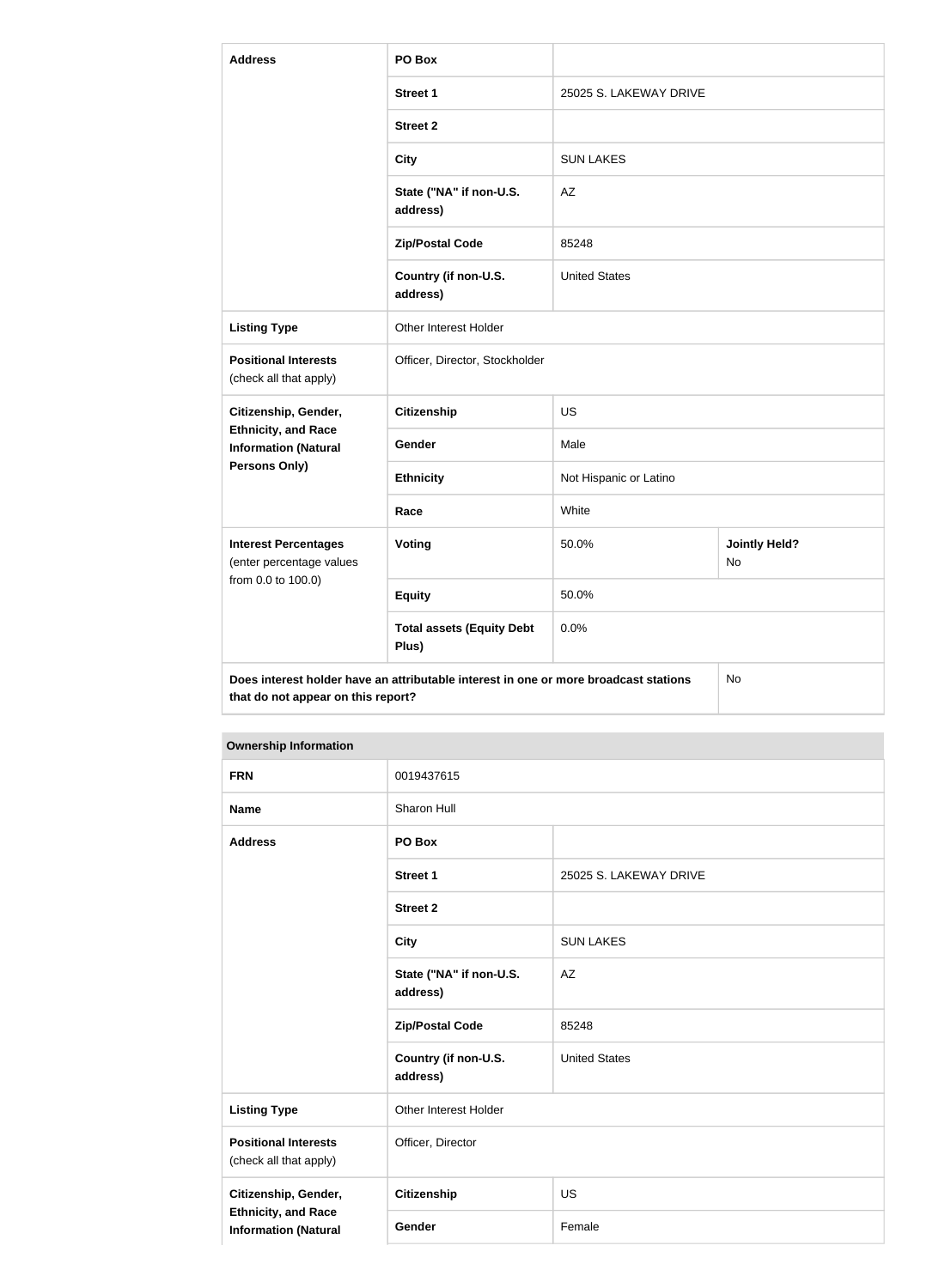| <b>Address</b>                                                                                                                   | PO Box                                    |                        |                            |  |
|----------------------------------------------------------------------------------------------------------------------------------|-------------------------------------------|------------------------|----------------------------|--|
|                                                                                                                                  | <b>Street 1</b>                           | 25025 S. LAKEWAY DRIVE |                            |  |
|                                                                                                                                  | <b>Street 2</b>                           |                        |                            |  |
|                                                                                                                                  | <b>City</b>                               | <b>SUN LAKES</b>       |                            |  |
|                                                                                                                                  | State ("NA" if non-U.S.<br>address)       | AZ                     |                            |  |
|                                                                                                                                  | <b>Zip/Postal Code</b>                    | 85248                  |                            |  |
|                                                                                                                                  | Country (if non-U.S.<br>address)          | <b>United States</b>   |                            |  |
| <b>Listing Type</b>                                                                                                              | Other Interest Holder                     |                        |                            |  |
| <b>Positional Interests</b><br>(check all that apply)                                                                            | Officer, Director, Stockholder            |                        |                            |  |
| Citizenship, Gender,                                                                                                             | <b>Citizenship</b>                        | <b>US</b>              |                            |  |
| <b>Ethnicity, and Race</b><br><b>Information (Natural</b>                                                                        | Gender                                    | Male                   |                            |  |
| Persons Only)                                                                                                                    | <b>Ethnicity</b>                          | Not Hispanic or Latino |                            |  |
|                                                                                                                                  | Race                                      | White                  |                            |  |
| <b>Interest Percentages</b><br>(enter percentage values                                                                          | Voting                                    | 50.0%                  | <b>Jointly Held?</b><br>No |  |
| from 0.0 to 100.0)                                                                                                               | <b>Equity</b>                             | 50.0%                  |                            |  |
|                                                                                                                                  | <b>Total assets (Equity Debt</b><br>Plus) | 0.0%                   |                            |  |
| Does interest holder have an attributable interest in one or more broadcast stations<br>No<br>that do not appear on this report? |                                           |                        |                            |  |

#### **Ownership Information**

| <b>FRN</b>                                                                        | 0019437615                          |                        |
|-----------------------------------------------------------------------------------|-------------------------------------|------------------------|
| <b>Name</b>                                                                       | Sharon Hull                         |                        |
| <b>Address</b>                                                                    | PO Box                              |                        |
|                                                                                   | <b>Street 1</b>                     | 25025 S. LAKEWAY DRIVE |
|                                                                                   | <b>Street 2</b>                     |                        |
|                                                                                   | <b>City</b>                         | <b>SUN LAKES</b>       |
|                                                                                   | State ("NA" if non-U.S.<br>address) | AZ                     |
|                                                                                   | <b>Zip/Postal Code</b>              | 85248                  |
|                                                                                   | Country (if non-U.S.<br>address)    | <b>United States</b>   |
| <b>Listing Type</b>                                                               | Other Interest Holder               |                        |
| <b>Positional Interests</b><br>(check all that apply)                             | Officer, Director                   |                        |
| Citizenship, Gender,<br><b>Ethnicity, and Race</b><br><b>Information (Natural</b> | Citizenship                         | <b>US</b>              |
|                                                                                   | Gender                              | Female                 |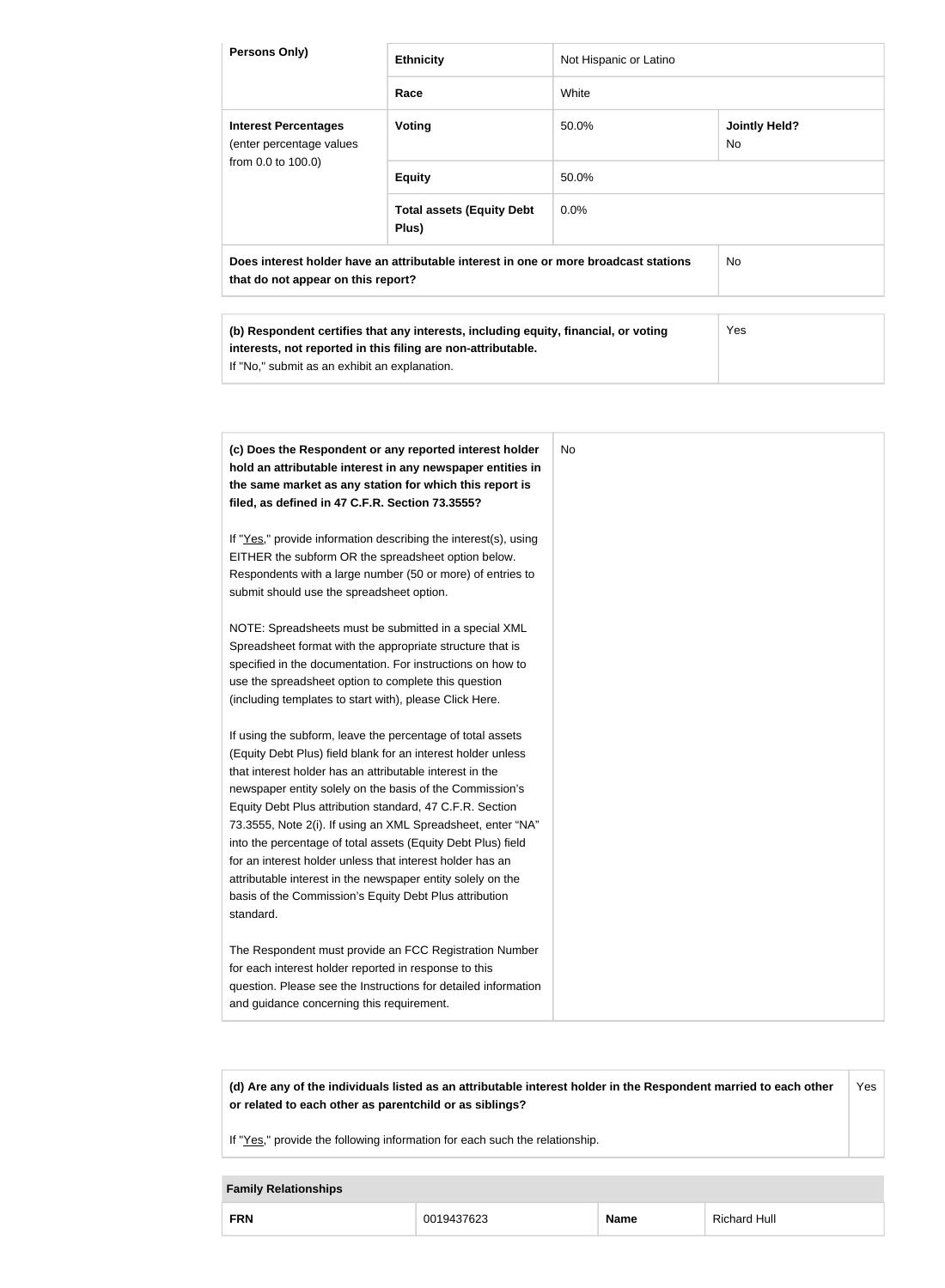| Persons Only)                                                                                                                                                                                                                                                                                                                                                                                                                                                                                                                                                                                                                                                                                                                                                                                                                                                                                                                                                                                                                                                                                                                                                                                                                                                                                                                                                                                                                                                                        | <b>Ethnicity</b>                                                                                                                                    | Not Hispanic or Latino |                                   |
|--------------------------------------------------------------------------------------------------------------------------------------------------------------------------------------------------------------------------------------------------------------------------------------------------------------------------------------------------------------------------------------------------------------------------------------------------------------------------------------------------------------------------------------------------------------------------------------------------------------------------------------------------------------------------------------------------------------------------------------------------------------------------------------------------------------------------------------------------------------------------------------------------------------------------------------------------------------------------------------------------------------------------------------------------------------------------------------------------------------------------------------------------------------------------------------------------------------------------------------------------------------------------------------------------------------------------------------------------------------------------------------------------------------------------------------------------------------------------------------|-----------------------------------------------------------------------------------------------------------------------------------------------------|------------------------|-----------------------------------|
|                                                                                                                                                                                                                                                                                                                                                                                                                                                                                                                                                                                                                                                                                                                                                                                                                                                                                                                                                                                                                                                                                                                                                                                                                                                                                                                                                                                                                                                                                      | Race                                                                                                                                                | White                  |                                   |
| <b>Interest Percentages</b><br>(enter percentage values                                                                                                                                                                                                                                                                                                                                                                                                                                                                                                                                                                                                                                                                                                                                                                                                                                                                                                                                                                                                                                                                                                                                                                                                                                                                                                                                                                                                                              | <b>Voting</b>                                                                                                                                       | 50.0%                  | <b>Jointly Held?</b><br><b>No</b> |
| from 0.0 to 100.0)                                                                                                                                                                                                                                                                                                                                                                                                                                                                                                                                                                                                                                                                                                                                                                                                                                                                                                                                                                                                                                                                                                                                                                                                                                                                                                                                                                                                                                                                   | <b>Equity</b>                                                                                                                                       | 50.0%                  |                                   |
|                                                                                                                                                                                                                                                                                                                                                                                                                                                                                                                                                                                                                                                                                                                                                                                                                                                                                                                                                                                                                                                                                                                                                                                                                                                                                                                                                                                                                                                                                      | <b>Total assets (Equity Debt</b><br>Plus)                                                                                                           | 0.0%                   |                                   |
| that do not appear on this report?                                                                                                                                                                                                                                                                                                                                                                                                                                                                                                                                                                                                                                                                                                                                                                                                                                                                                                                                                                                                                                                                                                                                                                                                                                                                                                                                                                                                                                                   | Does interest holder have an attributable interest in one or more broadcast stations                                                                |                        | No                                |
|                                                                                                                                                                                                                                                                                                                                                                                                                                                                                                                                                                                                                                                                                                                                                                                                                                                                                                                                                                                                                                                                                                                                                                                                                                                                                                                                                                                                                                                                                      | (b) Respondent certifies that any interests, including equity, financial, or voting<br>interests, not reported in this filing are non-attributable. |                        | Yes                               |
| If "No," submit as an exhibit an explanation.<br>(c) Does the Respondent or any reported interest holder<br>hold an attributable interest in any newspaper entities in<br>the same market as any station for which this report is<br>filed, as defined in 47 C.F.R. Section 73.3555?<br>If "Yes," provide information describing the interest(s), using<br>EITHER the subform OR the spreadsheet option below.<br>Respondents with a large number (50 or more) of entries to<br>submit should use the spreadsheet option.<br>NOTE: Spreadsheets must be submitted in a special XML<br>Spreadsheet format with the appropriate structure that is<br>specified in the documentation. For instructions on how to<br>use the spreadsheet option to complete this question<br>(including templates to start with), please Click Here.<br>If using the subform, leave the percentage of total assets<br>(Equity Debt Plus) field blank for an interest holder unless<br>that interest holder has an attributable interest in the<br>newspaper entity solely on the basis of the Commission's<br>Equity Debt Plus attribution standard, 47 C.F.R. Section<br>73.3555, Note 2(i). If using an XML Spreadsheet, enter "NA"<br>into the percentage of total assets (Equity Debt Plus) field<br>for an interest holder unless that interest holder has an<br>attributable interest in the newspaper entity solely on the<br>basis of the Commission's Equity Debt Plus attribution<br>standard. |                                                                                                                                                     | <b>No</b>              |                                   |
| for each interest holder reported in response to this<br>and guidance concerning this requirement.                                                                                                                                                                                                                                                                                                                                                                                                                                                                                                                                                                                                                                                                                                                                                                                                                                                                                                                                                                                                                                                                                                                                                                                                                                                                                                                                                                                   | The Respondent must provide an FCC Registration Number<br>question. Please see the Instructions for detailed information                            |                        |                                   |

**(d) Are any of the individuals listed as an attributable interest holder in the Respondent married to each other or related to each other as parentchild or as siblings?** Yes

If "Yes," provide the following information for each such the relationship.

#### **Family Relationships**

|--|